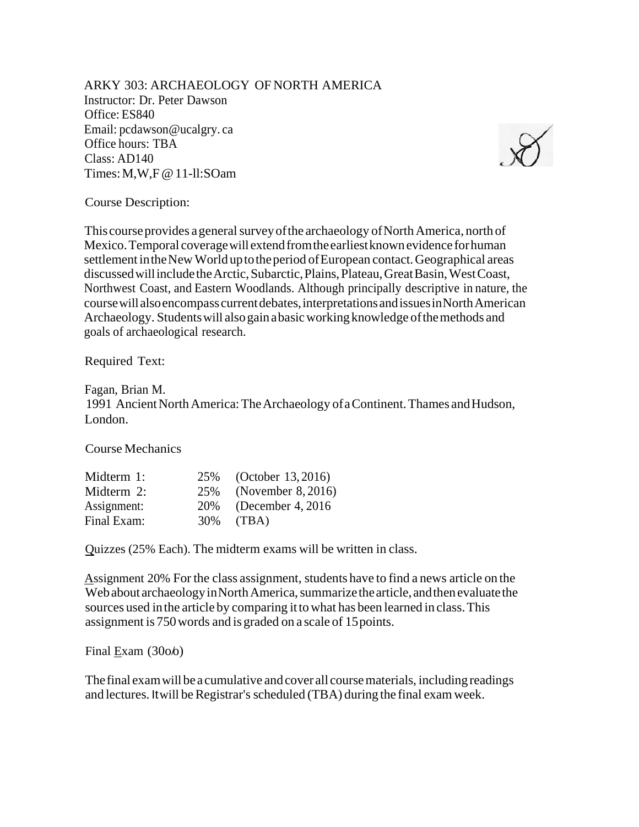ARKY 303: ARCHAEOLOGY OF NORTH AMERICA Instructor: Dr. Peter Dawson Office: ES840 Email: pcdawson@ucalgry. ca Office hours: TBA Class: AD140 Times:M,W,F@11-ll:SOam



Course Description:

This course provides a general survey of the archaeology of North America, north of Mexico.Temporal coveragewill extendfromtheearliestknownevidence forhuman settlement in the New World up to the period of European contact. Geographical areas discussedwillincludetheArctic,Subarctic,Plains,Plateau,GreatBasin,WestCoast, Northwest Coast, and Eastern Woodlands. Although principally descriptive in nature, the coursewillalsoencompass currentdebates,interpretationsandissuesinNorthAmerican Archaeology. Studentswill alsogainabasicworking knowledge ofthemethods and goals of archaeological research.

Required Text:

Fagan, Brian M. 1991 Ancient North America: The Archaeology of a Continent. Thames and Hudson, London.

Course Mechanics

| Midterm 1:  |     | 25% (October 13, 2016) |
|-------------|-----|------------------------|
| Midterm 2:  | 25% | (November $8,2016$ )   |
| Assignment: | 20% | (December 4, 2016)     |
| Final Exam: | 30% | (TBA)                  |

Quizzes (25% Each). The midterm exams will be written in class.

Assignment 20% For the class assignment, students have to find a news article on the Web about archaeology in North America, summarize the article, and thenevaluate the sources used inthe article by comparing ittowhat has been learned in class.This assignment is 750words and is graded on a scale of 15points.

Final Exam  $(3006)$ 

The final exam will be a cumulative and cover all course materials, including readings and lectures. It will be Registrar's scheduled (TBA) during the final exam week.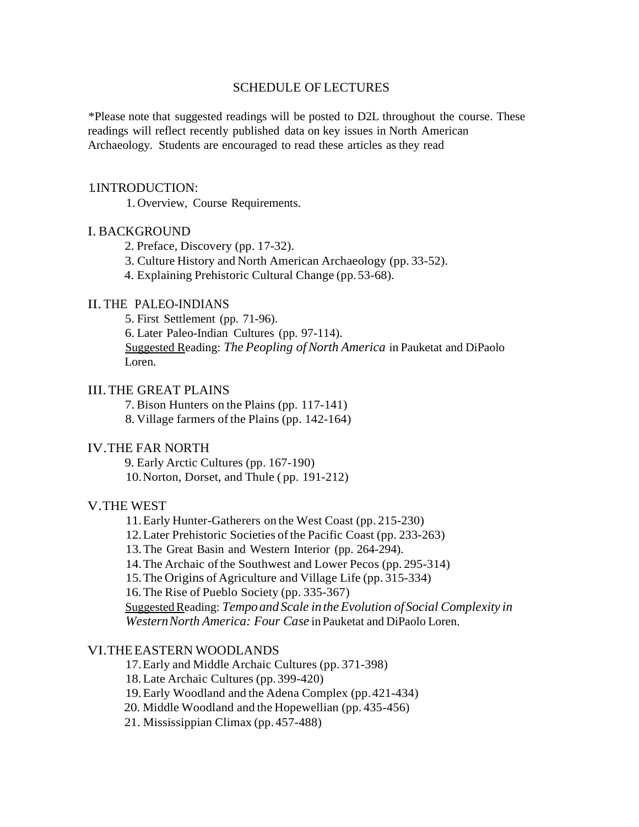## SCHEDULE OF LECTURES

\*Please note that suggested readings will be posted to D2L throughout the course. These readings will reflect recently published data on key issues in North American Archaeology. Students are encouraged to read these articles as they read

### 1.INTRODUCTION:

1.Overview, Course Requirements.

## I.BACKGROUND

- 2. Preface, Discovery (pp. 17-32).
- 3. Culture History and North American Archaeology (pp. 33-52).

4. Explaining Prehistoric Cultural Change (pp.53-68).

# II. THE PALEO-INDIANS

5. First Settlement (pp. 71-96).

6. Later Paleo-Indian Cultures (pp. 97-114).

Suggested Reading: *The Peopling ofNorth America* in Pauketat and DiPaolo Loren.

## III.THE GREAT PLAINS

7. Bison Hunters on the Plains (pp. 117-141)

8. Village farmers of the Plains (pp. 142-164)

# IV.THE FAR NORTH

9. Early Arctic Cultures (pp. 167-190) 10.Norton, Dorset, and Thule ( pp. 191-212)

# V.THE WEST

11.Early Hunter-Gatherers on the West Coast (pp. 215-230)

12.Later Prehistoric Societies ofthe Pacific Coast (pp. 233-263)

13.The Great Basin and Western Interior (pp. 264-294).

14.The Archaic ofthe Southwest and Lower Pecos (pp. 295-314)

15.The Origins of Agriculture and Village Life (pp. 315-334)

16.The Rise of Pueblo Society (pp. 335-367)

SuggestedReading: *Tempo and Scale intheEvolution ofSocial Complexity in WesternNorth America: Four Case* in Pauketat and DiPaolo Loren.

# VI.THEEASTERN WOODLANDS

17.Early and Middle Archaic Cultures (pp. 371-398)

18.Late Archaic Cultures (pp. 399-420)

19.Early Woodland and the Adena Complex (pp.421-434)

20. Middle Woodland and the Hopewellian (pp. 435-456)

21. Mississippian Climax (pp. 457-488)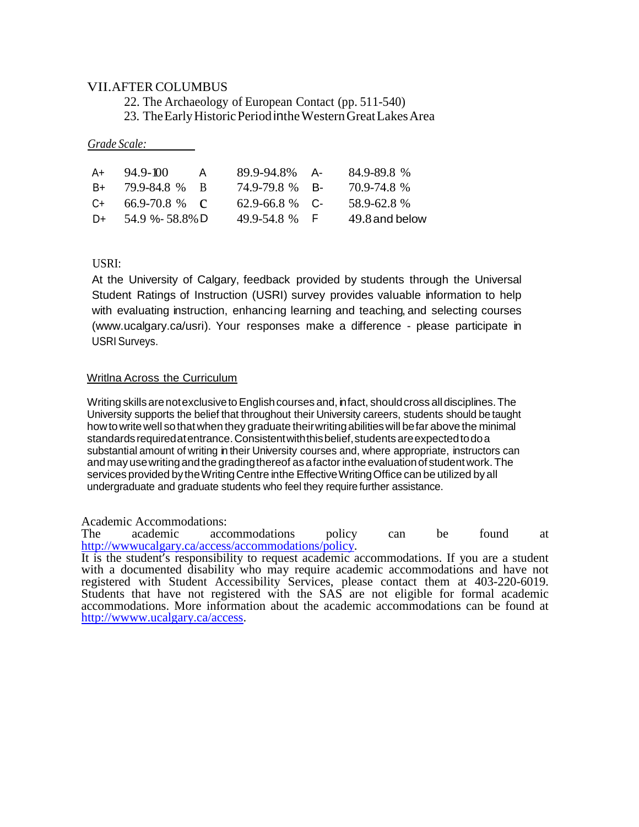# VII.AFTER COLUMBUS

22. The Archaeology of European Contact (pp. 511-540) 23. The Early Historic Period in the Western Great Lakes Area

### *Grade Scale:*

| A+    | $94.9 - 100$       | A   | 89.9-94.8% A-      | 84.9-89.8%     |
|-------|--------------------|-----|--------------------|----------------|
| B+    | 79.9-84.8%         | - R | 74.9-79.8 % B-     | 70.9-74.8%     |
| $C++$ | 66.9-70.8 % $\,$ C |     | $62.9 - 66.8$ % C- | 58.9-62.8%     |
| $D+$  | 54.9 %-58.8% D     |     | 49.9-54.8 % F      | 49.8 and below |

## USRI:

At the University of Calgary, feedback provided by students through the Universal Student Ratings of Instruction (USRI) survey provides valuable information to help with evaluating instruction, enhancing learning and teaching, and selecting courses [\(www.ucalgary.ca/usri\).](http://www.ucalgary.ca/usri)) Your responses make a difference - please participate in USRI Surveys.

### Writlna Across the Curriculum

Writing skills are notexclusive to English courses and, infact, should cross all disciplines. The University supports the belief that throughout their University careers, students should be taught howtowritewell sothatwhen they graduate theirwritingabilitieswill befar above the minimal standards required at entrance. Consistent with this belief, students are expected to do a substantial amount of writing in their University courses and, where appropriate, instructors can andmay usewritingandthe gradingthereof asafactor inthe evaluationof studentwork. The services provided by the Writing Centre inthe Effective Writing Office can be utilized by all undergraduate and graduate students who feel they require further assistance.

Academic Accommodations:<br>The academic accommodations The academic accommodations policy can be found at http://www.ucalgary.ca/access/accommodations/policy.

It is the student's responsibility to request academic accommodations. If you are a student with a documented disability who may require academic accommodations and have not registered with Student Accessibility Services, please contact them at 403-220-6019. Students that have not registered with the SAS are not eligible for formal academic accommodations. More information about the academic accommodations can be found at [http://wwww.ucalgary.ca/access.](http://wwww.ucalgary.ca/access)